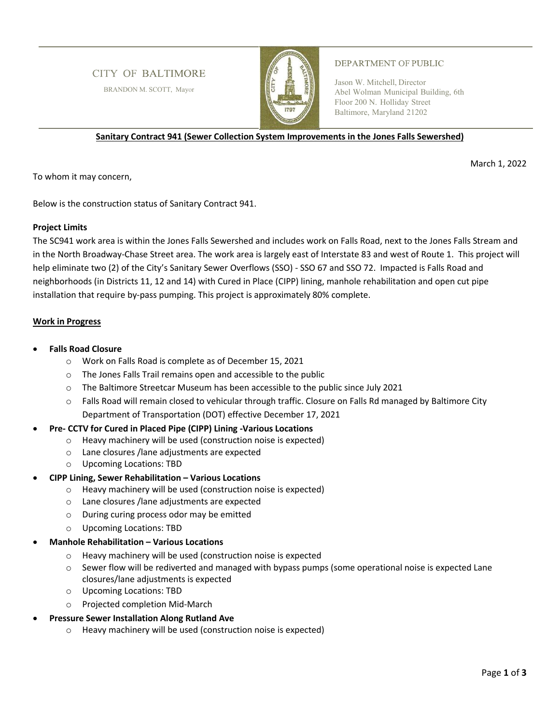# **CITY OF BALTIMORE**

BRANDON M. SCOTT, Mayor



#### **DEPARTMENT OF PUBLIC**

Jason W. Mitchell, Director Abel Wolman Municipal Building, 6th Floor 200 N. Holliday Street Baltimore, Maryland 21202

**Sanitary Contract 941 (Sewer Collection System Improvements in the Jones Falls Sewershed)** 

March 1, 2022

To whom it may concern,

Below is the construction status of Sanitary Contract 941.

#### **Project Limits**

The SC941 work area is within the Jones Falls Sewershed and includes work on Falls Road, next to the Jones Falls Stream and in the North Broadway-Chase Street area. The work area is largely east of Interstate 83 and west of Route 1. This project will help eliminate two (2) of the City's Sanitary Sewer Overflows (SSO) - SSO 67 and SSO 72. Impacted is Falls Road and neighborhoods (in Districts 11, 12 and 14) with Cured in Place (CIPP) lining, manhole rehabilitation and open cut pipe installation that require by-pass pumping. This project is approximately 80% complete.

## **Work in Progress**

- **Falls Road Closure** 
	- o Work on Falls Road is complete as of December 15, 2021
	- o The Jones Falls Trail remains open and accessible to the public
	- $\circ$  The Baltimore Streetcar Museum has been accessible to the public since July 2021
	- o Falls Road will remain closed to vehicular through traffic. Closure on Falls Rd managed by Baltimore City Department of Transportation (DOT) effective December 17, 2021

## **Pre- CCTV for Cured in Placed Pipe (CIPP) Lining -Various Locations**

- o Heavy machinery will be used (construction noise is expected)
- o Lane closures /lane adjustments are expected
- o Upcoming Locations: TBD
- **CIPP Lining, Sewer Rehabilitation Various Locations** 
	- o Heavy machinery will be used (construction noise is expected)
	- o Lane closures /lane adjustments are expected
	- o During curing process odor may be emitted
	- o Upcoming Locations: TBD
- **Manhole Rehabilitation Various Locations** 
	- o Heavy machinery will be used (construction noise is expected
	- o Sewer flow will be rediverted and managed with bypass pumps (some operational noise is expected Lane closures/lane adjustments is expected
	- o Upcoming Locations: TBD
	- o Projected completion Mid-March
- **Pressure Sewer Installation Along Rutland Ave** 
	- o Heavy machinery will be used (construction noise is expected)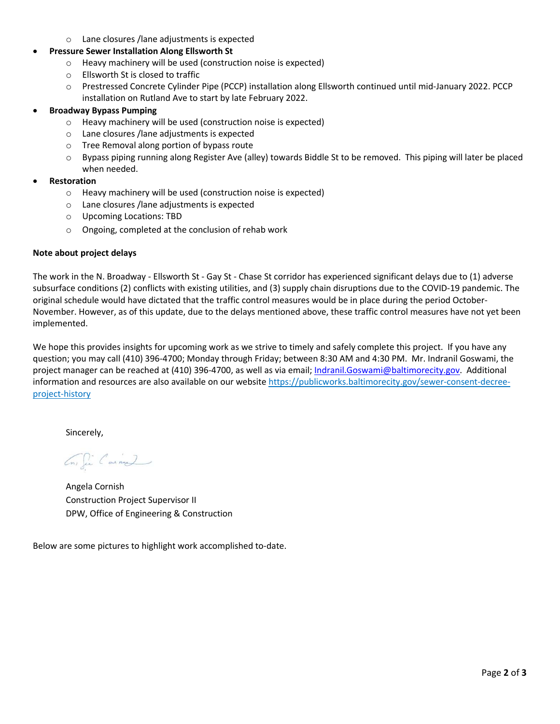o Lane closures /lane adjustments is expected

# **Pressure Sewer Installation Along Ellsworth St**

- o Heavy machinery will be used (construction noise is expected)
- o Ellsworth St is closed to traffic
- o Prestressed Concrete Cylinder Pipe (PCCP) installation along Ellsworth continued until mid-January 2022. PCCP installation on Rutland Ave to start by late February 2022.

## **Broadway Bypass Pumping**

- o Heavy machinery will be used (construction noise is expected)
- o Lane closures /lane adjustments is expected
- o Tree Removal along portion of bypass route
- $\circ$  Bypass piping running along Register Ave (alley) towards Biddle St to be removed. This piping will later be placed when needed.

## **Restoration**

- o Heavy machinery will be used (construction noise is expected)
- o Lane closures /lane adjustments is expected
- o Upcoming Locations: TBD
- o Ongoing, completed at the conclusion of rehab work

## **Note about project delays**

The work in the N. Broadway - Ellsworth St - Gay St - Chase St corridor has experienced significant delays due to (1) adverse subsurface conditions (2) conflicts with existing utilities, and (3) supply chain disruptions due to the COVID-19 pandemic. The original schedule would have dictated that the traffic control measures would be in place during the period October-November. However, as of this update, due to the delays mentioned above, these traffic control measures have not yet been implemented.

We hope this provides insights for upcoming work as we strive to timely and safely complete this project. If you have any question; you may call (410) 396-4700; Monday through Friday; between 8:30 AM and 4:30 PM. Mr. Indranil Goswami, the project manager can be reached at (410) 396-4700, as well as via email; Indranil.Goswami@baltimorecity.gov. Additional information and resources are also available on our website https://publicworks.baltimorecity.gov/sewer-consent-decreeproject-history

Sincerely,

En Sie Cainal

Angela Cornish Construction Project Supervisor II DPW, Office of Engineering & Construction

Below are some pictures to highlight work accomplished to-date.